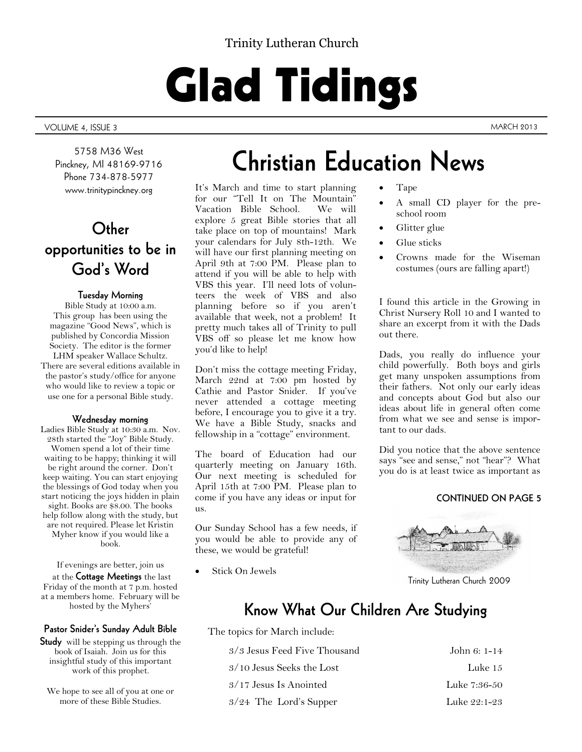### Trinity Lutheran Church

# Glad Tidings

VOLUME 4, ISSUE 3 MARCH 2013

5758 M36 West Pinckney, MI 48169-9716 Phone 734-878-5977 www.trinitypinckney.org

# **Other opportunities to be in God's Word**

### **Tuesday Morning**

Bible Study at 10:00 a.m. This group has been using the magazine "Good News", which is published by Concordia Mission Society. The editor is the former LHM speaker Wallace Schultz. There are several editions available in the pastor's study/office for anyone who would like to review a topic or use one for a personal Bible study.

### **Wednesday morning**

Ladies Bible Study at 10:30 a.m. Nov. 28th started the "Joy" Bible Study. Women spend a lot of their time waiting to be happy; thinking it will be right around the corner. Don't keep waiting. You can start enjoying the blessings of God today when you start noticing the joys hidden in plain sight. Books are \$8.00. The books help follow along with the study, but are not required. Please let Kristin Myher know if you would like a book.

If evenings are better, join us

at the **Cottage Meetings** the last Friday of the month at 7 p.m. hosted at a members home. February will be hosted by the Myhers'

### **Pastor Snider's Sunday Adult Bible**

**Study** will be stepping us through the book of Isaiah. Join us for this insightful study of this important work of this prophet.

We hope to see all of you at one or more of these Bible Studies.

# **Christian Education News**

It's March and time to start planning for our "Tell It on The Mountain" Vacation Bible School. explore 5 great Bible stories that all take place on top of mountains! Mark your calendars for July 8th-12th. We will have our first planning meeting on April 9th at 7:00 PM. Please plan to attend if you will be able to help with VBS this year. I'll need lots of volunteers the week of VBS and also planning before so if you aren't available that week, not a problem! It pretty much takes all of Trinity to pull VBS off so please let me know how you'd like to help!

Don't miss the cottage meeting Friday, March 22nd at 7:00 pm hosted by Cathie and Pastor Snider. If you've never attended a cottage meeting before, I encourage you to give it a try. We have a Bible Study, snacks and fellowship in a "cottage" environment.

The board of Education had our quarterly meeting on January 16th. Our next meeting is scheduled for April 15th at 7:00 PM. Please plan to come if you have any ideas or input for us.

Our Sunday School has a few needs, if you would be able to provide any of these, we would be grateful!

Stick On Jewels

Tape

- A small CD player for the preschool room
- Glitter glue
- Glue sticks
- Crowns made for the Wiseman costumes (ours are falling apart!)

I found this article in the Growing in Christ Nursery Roll 10 and I wanted to share an excerpt from it with the Dads out there.

Dads, you really do influence your child powerfully. Both boys and girls get many unspoken assumptions from their fathers. Not only our early ideas and concepts about God but also our ideas about life in general often come from what we see and sense is important to our dads.

Did you notice that the above sentence says "see and sense," not "hear"? What you do is at least twice as important as

### **CONTINUED ON PAGE 5**



Trinity Lutheran Church 2009

# **Know What Our Children Are Studying**

The topics for March include:

| 3/3 Jesus Feed Five Thousand | John 6: 1-14 |
|------------------------------|--------------|
| 3/10 Jesus Seeks the Lost    | Luke 15      |
| $3/17$ Jesus Is Anointed     | Luke 7:36-50 |
| $3/24$ The Lord's Supper     | Luke 22:1-23 |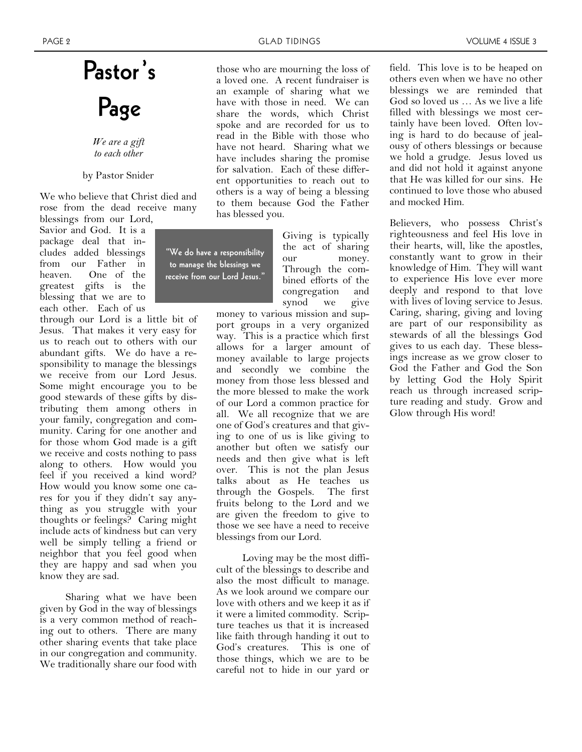# **Pastor's Page**

*We are a gift to each other*

### by Pastor Snider

We who believe that Christ died and rose from the dead receive many

blessings from our Lord, Savior and God. It is a package deal that includes added blessings from our Father in heaven. One of the greatest gifts is the blessing that we are to each other. Each of us

through our Lord is a little bit of Jesus. That makes it very easy for us to reach out to others with our abundant gifts. We do have a responsibility to manage the blessings we receive from our Lord Jesus. Some might encourage you to be good stewards of these gifts by distributing them among others in your family, congregation and community. Caring for one another and for those whom God made is a gift we receive and costs nothing to pass along to others. How would you feel if you received a kind word? How would you know some one cares for you if they didn't say anything as you struggle with your thoughts or feelings? Caring might include acts of kindness but can very well be simply telling a friend or neighbor that you feel good when they are happy and sad when you know they are sad.

Sharing what we have been given by God in the way of blessings is a very common method of reaching out to others. There are many other sharing events that take place in our congregation and community. We traditionally share our food with

those who are mourning the loss of a loved one. A recent fundraiser is an example of sharing what we have with those in need. We can share the words, which Christ spoke and are recorded for us to read in the Bible with those who have not heard. Sharing what we have includes sharing the promise for salvation. Each of these different opportunities to reach out to others is a way of being a blessing to them because God the Father has blessed you.

**"We do have a responsibility to manage the blessings we receive from our Lord Jesus."**

Giving is typically the act of sharing our money. Through the combined efforts of the congregation and synod we give

money to various mission and support groups in a very organized way. This is a practice which first allows for a larger amount of money available to large projects and secondly we combine the money from those less blessed and the more blessed to make the work of our Lord a common practice for all. We all recognize that we are one of God's creatures and that giving to one of us is like giving to another but often we satisfy our needs and then give what is left over. This is not the plan Jesus talks about as He teaches us through the Gospels. The first fruits belong to the Lord and we are given the freedom to give to those we see have a need to receive blessings from our Lord.

Loving may be the most difficult of the blessings to describe and also the most difficult to manage. As we look around we compare our love with others and we keep it as if it were a limited commodity. Scripture teaches us that it is increased like faith through handing it out to God's creatures. This is one of those things, which we are to be careful not to hide in our yard or

field. This love is to be heaped on others even when we have no other blessings we are reminded that God so loved us … As we live a life filled with blessings we most certainly have been loved. Often loving is hard to do because of jealousy of others blessings or because we hold a grudge. Jesus loved us and did not hold it against anyone that He was killed for our sins. He continued to love those who abused and mocked Him.

Believers, who possess Christ's righteousness and feel His love in their hearts, will, like the apostles, constantly want to grow in their knowledge of Him. They will want to experience His love ever more deeply and respond to that love with lives of loving service to Jesus. Caring, sharing, giving and loving are part of our responsibility as stewards of all the blessings God gives to us each day. These blessings increase as we grow closer to God the Father and God the Son by letting God the Holy Spirit reach us through increased scripture reading and study. Grow and Glow through His word!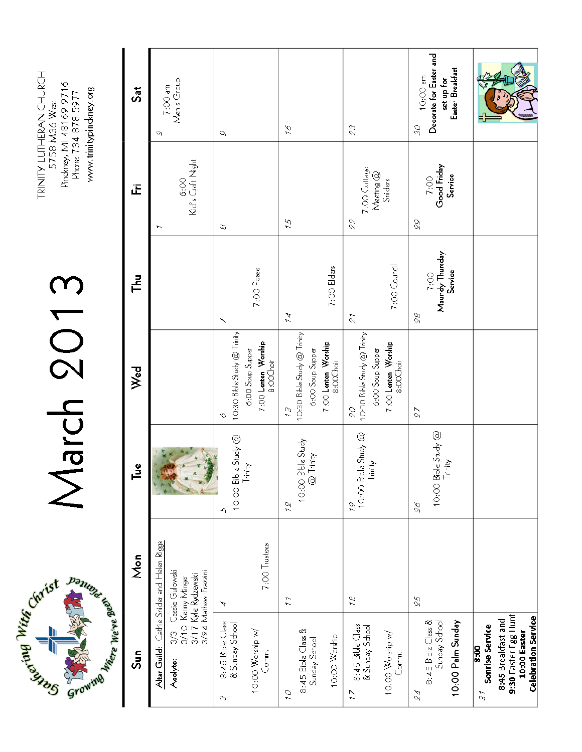**Datument of Capital River Board** Civist Civist

# March 2013

TRINITY LUITHERAN CHURCH<br>5758 M36 West<br>Pindeney, MI 48169-9716<br>Phone 734-878-5977 www.trinitypinckney.org

| Sat                     | Men's Group<br>$7:OO$ am<br>U                                                                                                        | σ                                                                                               | ςí                                                                                               | 23                                                                                               | Decorate for Easter and<br>Easter Breakfast<br>10:00 am<br>set up for<br>SS |                                                                                                                                              |
|-------------------------|--------------------------------------------------------------------------------------------------------------------------------------|-------------------------------------------------------------------------------------------------|--------------------------------------------------------------------------------------------------|--------------------------------------------------------------------------------------------------|-----------------------------------------------------------------------------|----------------------------------------------------------------------------------------------------------------------------------------------|
| Œ                       | Kid's Craft Night<br>6:00                                                                                                            | $\infty$                                                                                        | 75                                                                                               | 7:00 Cottage<br>Meeting @<br>Sniders<br>22                                                       | Good Friday<br>Service<br>7:00<br>88                                        |                                                                                                                                              |
| ᅾ                       |                                                                                                                                      | 7:00 Posse<br>N                                                                                 | 7:00 Elders<br>$\overline{A}$                                                                    | 7:00 Cound<br>$\mathcal{E}$                                                                      | 7:00<br>Maundy Thursday<br>Service<br>88                                    |                                                                                                                                              |
| Wed                     |                                                                                                                                      | 10:30 Bible Study @ Trinity<br>7:00 <b>Lenten Worship</b><br>8:00Choir<br>6:00 Soup Supper<br>Ò | 10:30 Bible Study @ Trinity<br>7:00 <b>Lenten Worship</b><br>8:00Choir<br>6:00 Soup Supper<br>23 | 10:30 Bible Study @ Trinity<br>7:00 <b>Lenten Worship</b><br>8:00Choir<br>6:00 Soup Supper<br>06 | 27                                                                          |                                                                                                                                              |
| ů۹                      |                                                                                                                                      | 10:00 Bble Study @<br>Trinity<br>ю                                                              | 10:00 Bble Study<br>@ Trinity<br>12                                                              | $\int_{1}^{10}$ 10:00 Bble Study @                                                               | 10:00 Bible Study @<br>Trinity<br>96                                        |                                                                                                                                              |
| $\overline{\text{Mon}}$ | Altar Guild: Cathie Snider and Helen Riggs<br>3/3 Cassie Gulowski<br>3/10 Kemy Minger<br>3/17 Kyle Rydzewski<br>3/24 Mathew Frazzini | 7:00 Trustees<br>А                                                                              | $\tilde{z}$                                                                                      | 84                                                                                               | 25                                                                          |                                                                                                                                              |
| Sun                     | Acolyte:                                                                                                                             | 8:45 Bible Class<br>& Sunday School<br>10:00 Worship w/<br>Comm.<br>m                           | 8:45 Bible Class &<br>10:00 Worship<br>Sunday School<br>$\tilde{C}$                              | 8:45 Bible Class<br>& Sunday School<br>10:00 Worship w/<br>Comm.<br>$\tilde{L}$                  | 8:45 Bible Class &<br>Sunday School<br>10:00 Palm Sunday<br>24              | 9:30 Easter Egg Hunt<br><b>Celebration Service</b><br>8:45 Breakfast and<br>Sonrise Service<br>10:00 Easter<br>$\frac{90}{8}$<br>$\tilde{c}$ |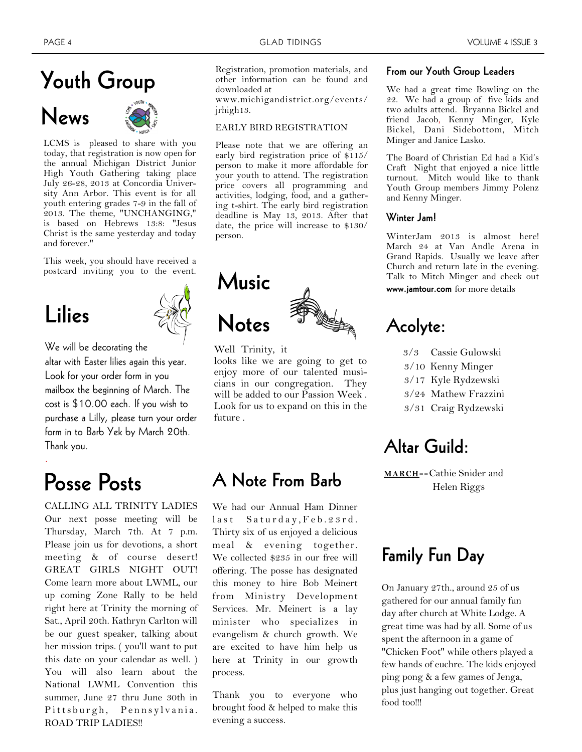# **Youth Group**

# **News**



LCMS is pleased to share with you today, that registration is now open for the annual Michigan District Junior High Youth Gathering taking place July 26-28, 2013 at Concordia University Ann Arbor. This event is for all youth entering grades 7-9 in the fall of 2013. The theme, "UNCHANGING," is based on Hebrews 13:8: "Jesus Christ is the same yesterday and today and forever."

This week, you should have received a postcard inviting you to the event.

# **Lilies**

.



We will be decorating the

altar with Easter lilies again this year. Look for your order form in you mailbox the beginning of March. The cost is \$10.00 each. If you wish to purchase a Lilly, please turn your order form in to Barb Yek by March 20th. Thank you.

CALLING ALL TRINITY LADIES Our next posse meeting will be Thursday, March 7th. At 7 p.m. Please join us for devotions, a short meeting & of course desert! GREAT GIRLS NIGHT OUT! Come learn more about LWML, our up coming Zone Rally to be held right here at Trinity the morning of Sat., April 20th. Kathryn Carlton will be our guest speaker, talking about her mission trips. ( you'll want to put this date on your calendar as well. ) You will also learn about the National LWML Convention this summer, June 27 thru June 30th in Pittsburgh, Pennsylvania. ROAD TRIP LADIES!!

Registration, promotion materials, and other information can be found and downloaded at

www.michigandistrict.org/events/ jrhigh13.

### EARLY BIRD REGISTRATION

Please note that we are offering an early bird registration price of \$115/ person to make it more affordable for your youth to attend. The registration price covers all programming and activities, lodging, food, and a gathering t-shirt. The early bird registration deadline is May 13, 2013. After that date, the price will increase to \$130/ person.



Well Trinity, it looks like we are going to get to enjoy more of our talented musicians in our congregation. They will be added to our Passion Week . Look for us to expand on this in the future .

# **Posse Posts A Note From Barb**

We had our Annual Ham Dinner last Saturday, Feb. 23rd. Thirty six of us enjoyed a delicious meal & evening together. We collected \$235 in our free will offering. The posse has designated this money to hire Bob Meinert from Ministry Development Services. Mr. Meinert is a lay minister who specializes in evangelism & church growth. We are excited to have him help us here at Trinity in our growth process.

Thank you to everyone who brought food & helped to make this evening a success.

### **From our Youth Group Leaders**

We had a great time Bowling on the 22. We had a group of five kids and two adults attend. Bryanna Bickel and friend Jacob, Kenny Minger, Kyle Bickel, Dani Sidebottom, Mitch Minger and Janice Lasko.

The Board of Christian Ed had a Kid's Craft Night that enjoyed a nice little turnout. Mitch would like to thank Youth Group members Jimmy Polenz and Kenny Minger.

### **Winter Jam!**

WinterJam 2013 is almost here! March 24 at Van Andle Arena in Grand Rapids. Usually we leave after Church and return late in the evening. Talk to Mitch Minger and check out **www.jamtour.com** for more details

# **Acolyte:**

- 3/3 Cassie Gulowski
- 3/10 Kenny Minger
- 3/17 Kyle Rydzewski
- 3/24 Mathew Frazzini
- 3/31 Craig Rydzewski

# **Altar Guild:**

**MARCH--**Cathie Snider and Helen Riggs

# **Family Fun Day**

On January 27th., around 25 of us gathered for our annual family fun day after church at White Lodge. A great time was had by all. Some of us spent the afternoon in a game of "Chicken Foot" while others played a few hands of euchre. The kids enjoyed ping pong & a few games of Jenga, plus just hanging out together. Great food too!!!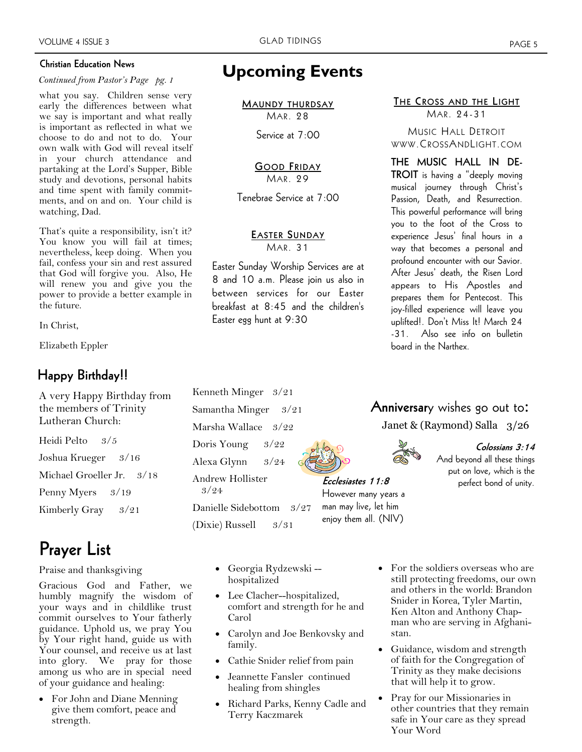### **Christian Education News**

### *Continued from Pastor's Page pg. 1*

what you say. Children sense very early the differences between what we say is important and what really is important as reflected in what we choose to do and not to do. Your own walk with God will reveal itself in your church attendance and partaking at the Lord's Supper, Bible study and devotions, personal habits and time spent with family commitments, and on and on. Your child is watching, Dad.

That's quite a responsibility, isn't it? You know you will fail at times; nevertheless, keep doing. When you fail, confess your sin and rest assured that God will forgive you. Also, He will renew you and give you the power to provide a better example in the future.

In Christ,

Elizabeth Eppler

### **Happy Birthday!!**

A very Happy Birthday from the members of Trinity Lutheran Church: Heidi Pelto 3/5

Joshua Krueger 3/16 Michael Groeller Jr. 3/18 Penny Myers 3/19 Kimberly Gray 3/21

# **Prayer List**

### Praise and thanksgiving

Gracious God and Father, we humbly magnify the wisdom of your ways and in childlike trust commit ourselves to Your fatherly guidance. Uphold us, we pray You by Your right hand, guide us with Your counsel, and receive us at last into glory. We pray for those among us who are in special need of your guidance and healing:

 For John and Diane Menning give them comfort, peace and strength.

## **Upcoming Events**

**MAUNDY THURDSAY** MAR. 28

Service at 7:00

### **GOOD FRIDAY** MAR. 29

Tenebrae Service at 7:00

### **EASTER SUNDAY** MAR. 31

Easter Sunday Worship Services are at 8 and 10 a.m. Please join us also in between services for our Easter breakfast at 8:45 and the children's Easter egg hunt at 9:30

### **THE CROSS AND THE LIGHT** MAR. 24-31

MUSIC HALL DETROIT WWW.CROSSANDLIGHT.COM

**THE MUSIC HALL IN DE-TROIT** is having a "deeply moving musical journey through Christ's Passion, Death, and Resurrection. This powerful performance will bring you to the foot of the Cross to experience Jesus' final hours in a way that becomes a personal and profound encounter with our Savior. After Jesus' death, the Risen Lord appears to His Apostles and prepares them for Pentecost. This joy-filled experience will leave you uplifted!. Don't Miss It! March 24 -31. Also see info on bulletin board in the Narthex.

### **Anniversar**y wishes go out to: Janet & (Raymond) Salla 3/26



**Ecclesiastes 11:8** However many years a man may live, let him

**Colossians 3:14**  And beyond all these things put on love, which is the perfect bond of unity.

Danielle Sidebottom 3/27 enjoy them all. (NIV)

> Georgia Rydzewski - hospitalized

Kenneth Minger 3/21 Samantha Minger 3/21 Marsha Wallace 3/22 Doris Young 3/22 Alexa Glynn 3/24 Andrew Hollister

(Dixie) Russell 3/31

3/24

- Lee Clacher--hospitalized, comfort and strength for he and Carol
- Carolyn and Joe Benkovsky and family.
- Cathie Snider relief from pain
- Jeannette Fansler continued healing from shingles
- Richard Parks, Kenny Cadle and Terry Kaczmarek
- For the soldiers overseas who are still protecting freedoms, our own and others in the world: Brandon Snider in Korea, Tyler Martin, Ken Alton and Anthony Chapman who are serving in Afghanistan.
- Guidance, wisdom and strength of faith for the Congregation of Trinity as they make decisions that will help it to grow.
- Pray for our Missionaries in other countries that they remain safe in Your care as they spread Your Word